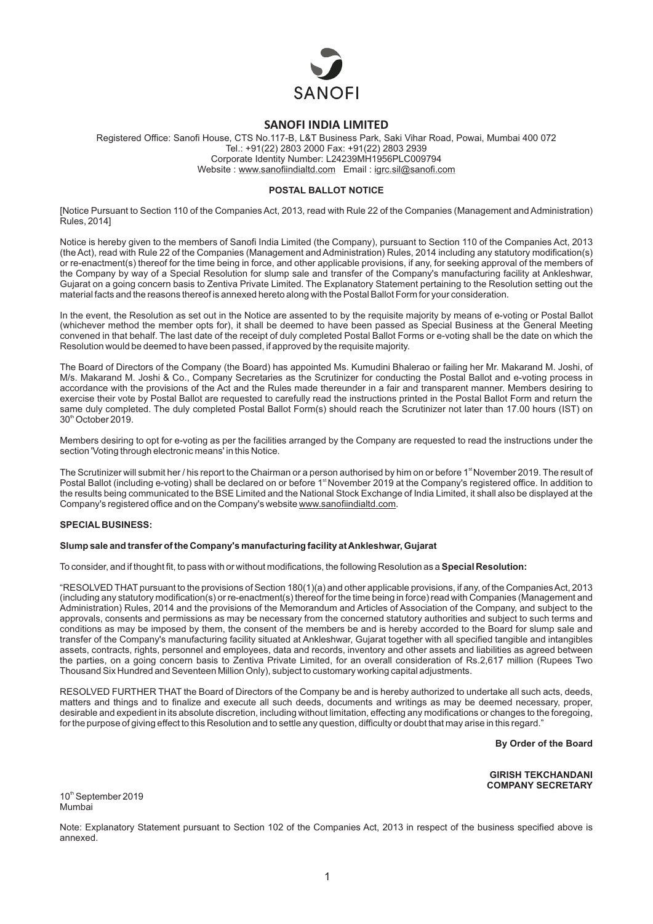

# **SANOFI INDIA LIMITED**

Registered Office: Sanofi House, CTS No.117-B, L&T Business Park, Saki Vihar Road, Powai, Mumbai 400 072 Tel.: +91(22) 2803 2000 Fax: +91(22) 2803 2939 Corporate Identity Number: L24239MH1956PLC009794 Website : www.sanofiindialtd.com Email : igrc.sil@sanofi.com

### **POSTAL BALLOT NOTICE**

[Notice Pursuant to Section 110 of the Companies Act, 2013, read with Rule 22 of the Companies (Management and Administration) Rules, 2014]

Notice is hereby given to the members of Sanofi India Limited (the Company), pursuant to Section 110 of the Companies Act, 2013 (the Act), read with Rule 22 of the Companies (Management and Administration) Rules, 2014 including any statutory modification(s) or re-enactment(s) thereof for the time being in force, and other applicable provisions, if any, for seeking approval of the members of the Company by way of a Special Resolution for slump sale and transfer of the Company's manufacturing facility at Ankleshwar, Gujarat on a going concern basis to Zentiva Private Limited. The Explanatory Statement pertaining to the Resolution setting out the material facts and the reasons thereof is annexed hereto along with the Postal Ballot Form for your consideration.

In the event, the Resolution as set out in the Notice are assented to by the requisite majority by means of e-voting or Postal Ballot (whichever method the member opts for), it shall be deemed to have been passed as Special Business at the General Meeting convened in that behalf. The last date of the receipt of duly completed Postal Ballot Forms or e-voting shall be the date on which the Resolution would be deemed to have been passed, if approved by the requisite majority.

The Board of Directors of the Company (the Board) has appointed Ms. Kumudini Bhalerao or failing her Mr. Makarand M. Joshi, of M/s. Makarand M. Joshi & Co., Company Secretaries as the Scrutinizer for conducting the Postal Ballot and e-voting process in accordance with the provisions of the Act and the Rules made thereunder in a fair and transparent manner. Members desiring to exercise their vote by Postal Ballot are requested to carefully read the instructions printed in the Postal Ballot Form and return the same duly completed. The duly completed Postal Ballot Form(s) should reach the Scrutinizer not later than 17.00 hours (IST) on  $30<sup>th</sup>$  October 2019.

Members desiring to opt for e-voting as per the facilities arranged by the Company are requested to read the instructions under the section 'Voting through electronic means' in this Notice.

The Scrutinizer will submit her / his report to the Chairman or a person authorised by him on or before 1<sup>st</sup> November 2019. The result of Postal Ballot (including e-voting) shall be declared on or before 1<sup>st</sup> November 2019 at the Company's registered office. In addition to the results being communicated to the BSE Limited and the National Stock Exchange of India Limited, it shall also be displayed at the Company's registered office and on the Company's website www.sanofiindialtd.com.

### **SPECIAL BUSINESS:**

### **Slump sale and transfer of the Company's manufacturing facility at Ankleshwar, Gujarat**

To consider, and if thought fit, to pass with or without modifications, the following Resolution as a **Special Resolution:**

"RESOLVED THAT pursuant to the provisions of Section 180(1)(a) and other applicable provisions, if any, of the Companies Act, 2013 (including any statutory modification(s) or re-enactment(s) thereof for the time being in force) read with Companies (Management and Administration) Rules, 2014 and the provisions of the Memorandum and Articles of Association of the Company, and subject to the approvals, consents and permissions as may be necessary from the concerned statutory authorities and subject to such terms and conditions as may be imposed by them, the consent of the members be and is hereby accorded to the Board for slump sale and transfer of the Company's manufacturing facility situated at Ankleshwar, Gujarat together with all specified tangible and intangibles assets, contracts, rights, personnel and employees, data and records, inventory and other assets and liabilities as agreed between the parties, on a going concern basis to Zentiva Private Limited, for an overall consideration of Rs.2,617 million (Rupees Two Thousand Six Hundred and Seventeen Million Only), subject to customary working capital adjustments.

RESOLVED FURTHER THAT the Board of Directors of the Company be and is hereby authorized to undertake all such acts, deeds, matters and things and to finalize and execute all such deeds, documents and writings as may be deemed necessary, proper, desirable and expedient in its absolute discretion, including without limitation, effecting any modifications or changes to the foregoing, for the purpose of giving effect to this Resolution and to settle any question, difficulty or doubt that may arise in this regard."

**By Order of the Board** 

**GIRISH TEKCHANDANI COMPANY SECRETARY**

10<sup>th</sup> September 2019 Mumbai

Note: Explanatory Statement pursuant to Section 102 of the Companies Act, 2013 in respect of the business specified above is annexed.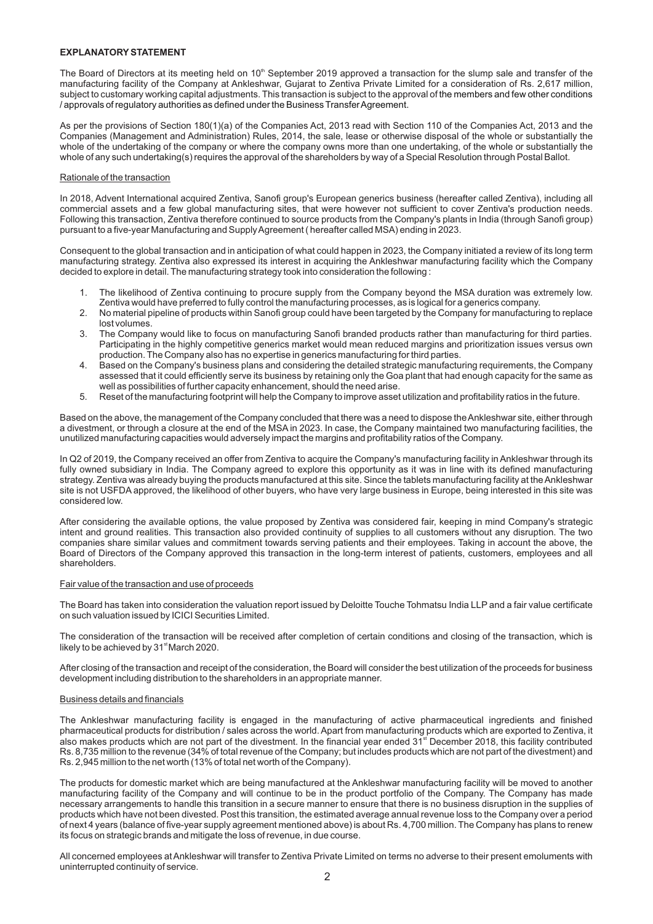### **EXPLANATORYSTATEMENT**

The Board of Directors at its meeting held on  $10<sup>th</sup>$  September 2019 approved a transaction for the slump sale and transfer of the manufacturing facility of the Company at Ankleshwar, Gujarat to Zentiva Private Limited for a consideration of Rs. 2,617 million, subject to customary working capital adjustments. This transaction is subject to the approval of the members and few other conditions / approvals of regulatory authorities as defined under the Business Transfer Agreement.

As per the provisions of Section 180(1)(a) of the Companies Act, 2013 read with Section 110 of the Companies Act, 2013 and the Companies (Management and Administration) Rules, 2014, the sale, lease or otherwise disposal of the whole or substantially the whole of the undertaking of the company or where the company owns more than one undertaking, of the whole or substantially the whole of any such undertaking(s) requires the approval of the shareholders by way of a Special Resolution through Postal Ballot.

#### Rationale of the transaction

In 2018, Advent International acquired Zentiva, Sanofi group's European generics business (hereafter called Zentiva), including all commercial assets and a few global manufacturing sites, that were however not sufficient to cover Zentiva's production needs. Following this transaction, Zentiva therefore continued to source products from the Company's plants in India (through Sanofi group) pursuant to a five-year Manufacturing and Supply Agreement ( hereafter called MSA) ending in 2023.

Consequent to the global transaction and in anticipation of what could happen in 2023, the Company initiated a review of its long term manufacturing strategy. Zentiva also expressed its interest in acquiring the Ankleshwar manufacturing facility which the Company decided to explore in detail. The manufacturing strategy took into consideration the following :

- The likelihood of Zentiva continuing to procure supply from the Company beyond the MSA duration was extremely low. Zentiva would have preferred to fully control the manufacturing processes, as is logical for a generics company.
- 2. No material pipeline of products within Sanofi group could have been targeted by the Company for manufacturing to replace lost volumes.
- 3. The Company would like to focus on manufacturing Sanofi branded products rather than manufacturing for third parties. Participating in the highly competitive generics market would mean reduced margins and prioritization issues versus own production. The Company also has no expertise in generics manufacturing for third parties.
- 4. Based on the Company's business plans and considering the detailed strategic manufacturing requirements, the Company assessed that it could efficiently serve its business by retaining only the Goa plant that had enough capacity for the same as well as possibilities of further capacity enhancement, should the need arise.
- 5. Reset of the manufacturing footprint will help the Company to improve asset utilization and profitability ratios in the future.

Based on the above, the management of the Company concluded that there was a need to dispose the Ankleshwar site, either through a divestment, or through a closure at the end of the MSA in 2023. In case, the Company maintained two manufacturing facilities, the unutilized manufacturing capacities would adversely impact the margins and profitability ratios of the Company.

In Q2 of 2019, the Company received an offer from Zentiva to acquire the Company's manufacturing facility in Ankleshwar through its fully owned subsidiary in India. The Company agreed to explore this opportunity as it was in line with its defined manufacturing strategy. Zentiva was already buying the products manufactured at this site. Since the tablets manufacturing facility at the Ankleshwar site is not USFDA approved, the likelihood of other buyers, who have very large business in Europe, being interested in this site was considered low.

After considering the available options, the value proposed by Zentiva was considered fair, keeping in mind Company's strategic intent and ground realities. This transaction also provided continuity of supplies to all customers without any disruption. The two companies share similar values and commitment towards serving patients and their employees. Taking in account the above, the Board of Directors of the Company approved this transaction in the long-term interest of patients, customers, employees and all shareholders.

#### Fair value of the transaction and use of proceeds

The Board has taken into consideration the valuation report issued by Deloitte Touche Tohmatsu India LLP and a fair value certificate on such valuation issued by ICICI Securities Limited.

The consideration of the transaction will be received after completion of certain conditions and closing of the transaction, which is likely to be achieved by 31<sup>st</sup> March 2020.

After closing of the transaction and receipt of the consideration, the Board will consider the best utilization of the proceeds for business development including distribution to the shareholders in an appropriate manner.

#### Business details and financials

The Ankleshwar manufacturing facility is engaged in the manufacturing of active pharmaceutical ingredients and finished pharmaceutical products for distribution / sales across the world. Apart from manufacturing products which are exported to Zentiva, it also makes products which are not part of the divestment. In the financial year ended  $31<sup>st</sup>$  December 2018, this facility contributed Rs. 8,735 million to the revenue (34% of total revenue of the Company; but includes products which are not part of the divestment) and Rs. 2,945 million to the net worth (13% of total net worth of the Company).

The products for domestic market which are being manufactured at the Ankleshwar manufacturing facility will be moved to another manufacturing facility of the Company and will continue to be in the product portfolio of the Company. The Company has made necessary arrangements to handle this transition in a secure manner to ensure that there is no business disruption in the supplies of products which have not been divested. Post this transition, the estimated average annual revenue loss to the Company over a period of next 4 years (balance of five-year supply agreement mentioned above) is about Rs. 4,700 million. The Company has plans to renew its focus on strategic brands and mitigate the loss of revenue, in due course.

All concerned employees at Ankleshwar will transfer to Zentiva Private Limited on terms no adverse to their present emoluments with uninterrupted continuity of service.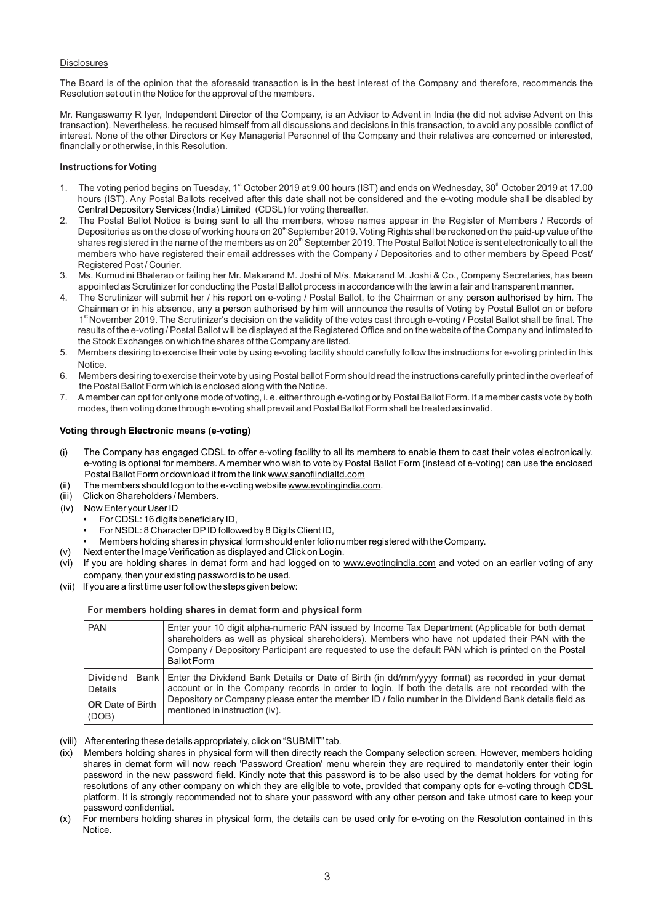### **Disclosures**

The Board is of the opinion that the aforesaid transaction is in the best interest of the Company and therefore, recommends the Resolution set out in the Notice for the approval of the members.

Mr. Rangaswamy R Iyer, Independent Director of the Company, is an Advisor to Advent in India (he did not advise Advent on this transaction). Nevertheless, he recused himself from all discussions and decisions in this transaction, to avoid any possible conflict of interest. None of the other Directors or Key Managerial Personnel of the Company and their relatives are concerned or interested, financially or otherwise, in this Resolution.

### **Instructions for Voting**

- 1. The voting period begins on Tuesday, 1<sup>st</sup> October 2019 at 9.00 hours (IST) and ends on Wednesday, 30<sup>th</sup> October 2019 at 17.00 hours (IST). Any Postal Ballots received after this date shall not be considered and the e-voting module shall be disabled by Central Depository Services (India) Limited (CDSL) for voting thereafter.
- 2. The Postal Ballot Notice is being sent to all the members, whose names appear in the Register of Members / Records of Depositories as on the close of working hours on 20<sup>th</sup> September 2019. Voting Rights shall be reckoned on the paid-up value of the shares registered in the name of the members as on 20<sup>th</sup> September 2019. The Postal Ballot Notice is sent electronically to all the members who have registered their email addresses with the Company / Depositories and to other members by Speed Post/ Registered Post / Courier.
- 3. Ms. Kumudini Bhalerao or failing her Mr. Makarand M. Joshi of M/s. Makarand M. Joshi & Co., Company Secretaries, has been appointed as Scrutinizer for conducting the Postal Ballot process in accordance with the law in a fair and transparent manner.
- 4. The Scrutinizer will submit her / his report on e-voting / Postal Ballot, to the Chairman or any person authorised by him. The Chairman or in his absence, any a person authorised by him will announce the results of Voting by Postal Ballot on or before 1<sup>st</sup> November 2019. The Scrutinizer's decision on the validity of the votes cast through e-voting / Postal Ballot shall be final. The results of the e-voting / Postal Ballot will be displayed at the Registered Office and on the website of the Company and intimated to the Stock Exchanges on which the shares of the Company are listed.
- 5. Members desiring to exercise their vote by using e-voting facility should carefully follow the instructions for e-voting printed in this Notice.
- 6. Members desiring to exercise their vote by using Postal ballot Form should read the instructions carefully printed in the overleaf of the Postal Ballot Form which is enclosed along with the Notice.
- 7. Amember can opt for only one mode of voting, i. e. either through e-voting or by Postal Ballot Form. If a member casts vote by both modes, then voting done through e-voting shall prevail and Postal Ballot Form shall be treated as invalid.

## **Voting through Electronic means (e-voting)**

- ( ) The Company has engaged CDSL to offer e-voting facility to all its members to enable them to cast their votes electronically. e-voting is optional for members. A member who wish to vote by Postal Ballot Form (instead of e-voting) can use the enclosed Postal Ballot Form or download it from the link www.sanofiindialtd.com
- (ii) The members should log on to the e-voting website www.evotingindia.com.
- (iii) Click on Shareholders / Members.
- (iv) Now Enter your User ID
	- For CDSL: 16 digits beneficiary ID,
	- For NSDL: 8 Character DPID followed by 8 Digits Client ID,
- Members holding shares in physical form should enter folio number registered with the Company.
- (v) Next enter the Image Verification as displayed and Click on Login.
- (vi) If you are holding shares in demat form and had logged on to www.evotingindia.com and voted on an earlier voting of any company, then your existing password is to be used.
- (vii) If you are a first time user follow the steps given below:

| For members holding shares in demat form and physical form        |                                                                                                                                                                                                                                                                                                                                                    |
|-------------------------------------------------------------------|----------------------------------------------------------------------------------------------------------------------------------------------------------------------------------------------------------------------------------------------------------------------------------------------------------------------------------------------------|
| <b>PAN</b>                                                        | Enter your 10 digit alpha-numeric PAN issued by Income Tax Department (Applicable for both demat<br>shareholders as well as physical shareholders). Members who have not updated their PAN with the<br>Company / Depository Participant are requested to use the default PAN which is printed on the Postal<br><b>Ballot Form</b>                  |
| Dividend<br>Bank I<br>Details<br><b>OR</b> Date of Birth<br>(DOB) | Enter the Dividend Bank Details or Date of Birth (in dd/mm/yyyy format) as recorded in your demat<br>account or in the Company records in order to login. If both the details are not recorded with the<br>Depository or Company please enter the member ID / folio number in the Dividend Bank details field as<br>mentioned in instruction (iv). |

- (viii) After entering these details appropriately, click on "SUBMIT" tab.
- (ix) Members holding shares in physical form will then directly reach the Company selection screen. However, members holding shares in demat form will now reach 'Password Creation' menu wherein they are required to mandatorily enter their login password in the new password field. Kindly note that this password is to be also used by the demat holders for voting for resolutions of any other company on which they are eligible to vote, provided that company opts for e-voting through CDSL platform. It is strongly recommended not to share your password with any other person and take utmost care to keep your password confidential.
- For members holding shares in physical form, the details can be used only for e-voting on the Resolution contained in this Notice.